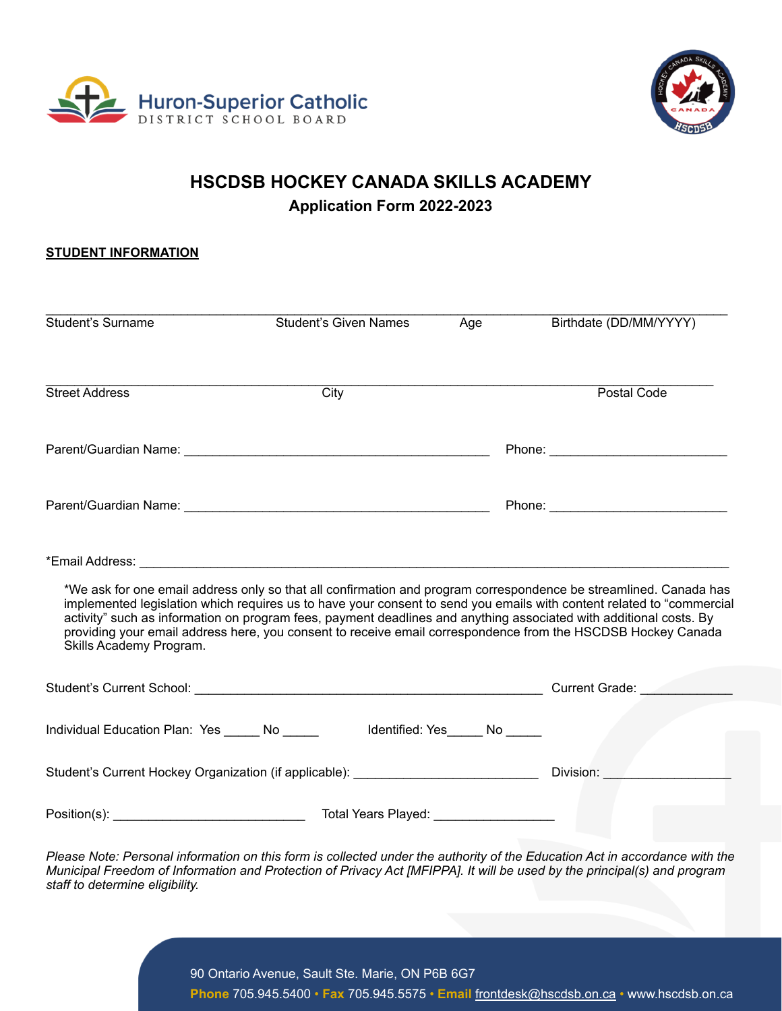



# **HSCDSB HOCKEY CANADA SKILLS ACADEMY Application Form 2022-2023**

# **STUDENT INFORMATION**

| <b>Student's Surname</b> | <b>Student's Given Names</b>                                                     | Age | Birthdate (DD/MM/YYYY)                                                                                                                                                                                                                                                                                                                                                                                                                                                           |
|--------------------------|----------------------------------------------------------------------------------|-----|----------------------------------------------------------------------------------------------------------------------------------------------------------------------------------------------------------------------------------------------------------------------------------------------------------------------------------------------------------------------------------------------------------------------------------------------------------------------------------|
| <b>Street Address</b>    | City                                                                             |     | Postal Code                                                                                                                                                                                                                                                                                                                                                                                                                                                                      |
|                          |                                                                                  |     |                                                                                                                                                                                                                                                                                                                                                                                                                                                                                  |
|                          |                                                                                  |     |                                                                                                                                                                                                                                                                                                                                                                                                                                                                                  |
| Skills Academy Program.  |                                                                                  |     | *We ask for one email address only so that all confirmation and program correspondence be streamlined. Canada has<br>implemented legislation which requires us to have your consent to send you emails with content related to "commercial<br>activity" such as information on program fees, payment deadlines and anything associated with additional costs. By<br>providing your email address here, you consent to receive email correspondence from the HSCDSB Hockey Canada |
|                          |                                                                                  |     |                                                                                                                                                                                                                                                                                                                                                                                                                                                                                  |
|                          | Individual Education Plan: Yes ______ No ______ ldentified: Yes _____ No _____   |     |                                                                                                                                                                                                                                                                                                                                                                                                                                                                                  |
|                          | Student's Current Hockey Organization (if applicable): _________________________ |     | Division: <b>Contract Contract Contract Contract Contract Contract Contract Contract Contract Contract Contract Contract Contract Contract Contract Contract Contract Contract Contract Contract Contract Contract Contract Cont</b>                                                                                                                                                                                                                                             |
|                          |                                                                                  |     |                                                                                                                                                                                                                                                                                                                                                                                                                                                                                  |

*Please Note: Personal information on this form is collected under the authority of the Education Act in accordance with the Municipal Freedom of Information and Protection of Privacy Act [MFIPPA]. It will be used by the principal(s) and program staff to determine eligibility.* 

> 90 Ontario Avenue, Sault Ste. Marie, ON P6B 6G7 **Phone** 705.945.5400 • **Fax** 705.945.5575 • **Email** [frontdesk@hscdsb.on.ca](mailto:info@hscdsb.on.ca) • www.hscdsb.on.ca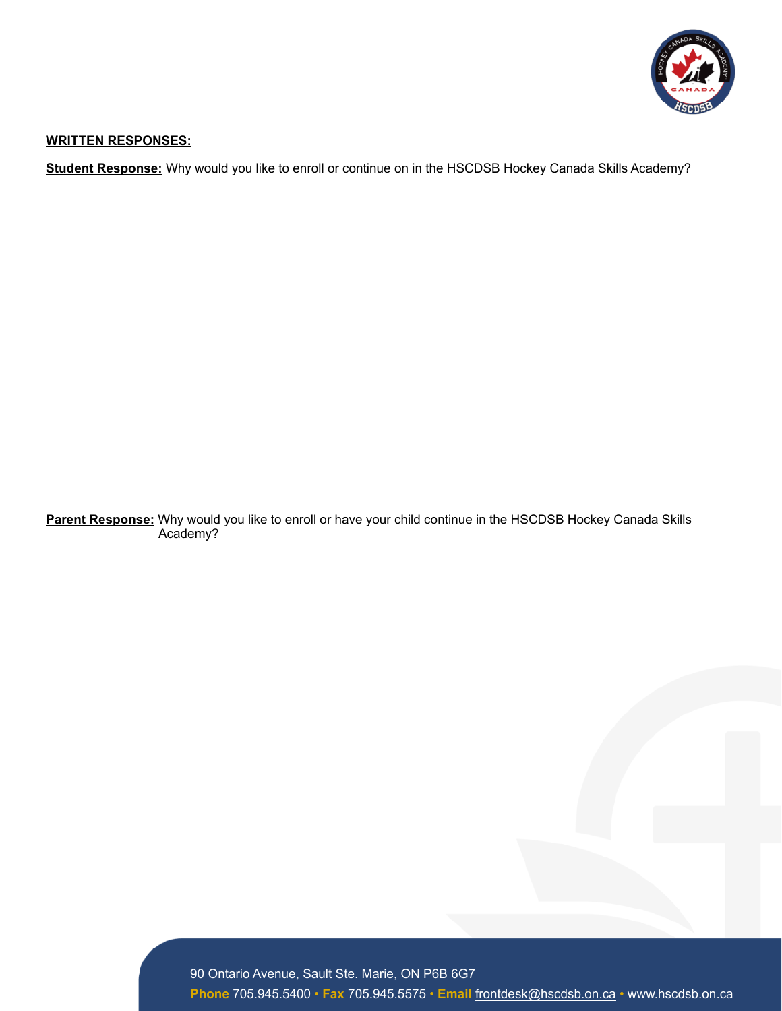

## **WRITTEN RESPONSES:**

**Student Response:** Why would you like to enroll or continue on in the HSCDSB Hockey Canada Skills Academy?

**Parent Response:** Why would you like to enroll or have your child continue in the HSCDSB Hockey Canada Skills Academy?

> 90 Ontario Avenue, Sault Ste. Marie, ON P6B 6G7 **Phone** 705.945.5400 • **Fax** 705.945.5575 • **Email** [frontdesk@hscdsb.on.ca](mailto:info@hscdsb.on.ca) • www.hscdsb.on.ca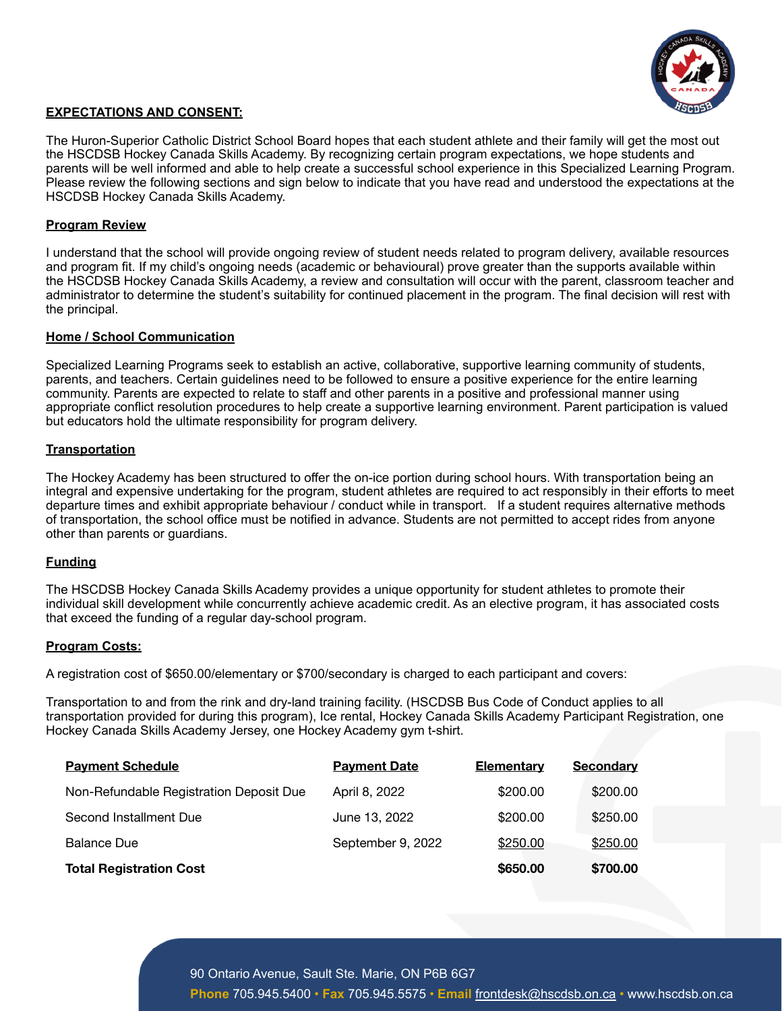

## **EXPECTATIONS AND CONSENT:**

The Huron-Superior Catholic District School Board hopes that each student athlete and their family will get the most out the HSCDSB Hockey Canada Skills Academy. By recognizing certain program expectations, we hope students and parents will be well informed and able to help create a successful school experience in this Specialized Learning Program. Please review the following sections and sign below to indicate that you have read and understood the expectations at the HSCDSB Hockey Canada Skills Academy.

### **Program Review**

I understand that the school will provide ongoing review of student needs related to program delivery, available resources and program fit. If my child's ongoing needs (academic or behavioural) prove greater than the supports available within the HSCDSB Hockey Canada Skills Academy, a review and consultation will occur with the parent, classroom teacher and administrator to determine the student's suitability for continued placement in the program. The final decision will rest with the principal.

#### **Home / School Communication**

Specialized Learning Programs seek to establish an active, collaborative, supportive learning community of students, parents, and teachers. Certain guidelines need to be followed to ensure a positive experience for the entire learning community. Parents are expected to relate to staff and other parents in a positive and professional manner using appropriate conflict resolution procedures to help create a supportive learning environment. Parent participation is valued but educators hold the ultimate responsibility for program delivery.

### **Transportation**

The Hockey Academy has been structured to offer the on-ice portion during school hours. With transportation being an integral and expensive undertaking for the program, student athletes are required to act responsibly in their efforts to meet departure times and exhibit appropriate behaviour / conduct while in transport. If a student requires alternative methods of transportation, the school office must be notified in advance. Students are not permitted to accept rides from anyone other than parents or guardians.

#### **Funding**

The HSCDSB Hockey Canada Skills Academy provides a unique opportunity for student athletes to promote their individual skill development while concurrently achieve academic credit. As an elective program, it has associated costs that exceed the funding of a regular day-school program.

## **Program Costs:**

A registration cost of \$650.00/elementary or \$700/secondary is charged to each participant and covers:

Transportation to and from the rink and dry-land training facility. (HSCDSB Bus Code of Conduct applies to all transportation provided for during this program), Ice rental, Hockey Canada Skills Academy Participant Registration, one Hockey Canada Skills Academy Jersey, one Hockey Academy gym t-shirt.

| <b>Payment Schedule</b>                 | <b>Payment Date</b> | <b>Elementary</b> | <b>Secondary</b> |
|-----------------------------------------|---------------------|-------------------|------------------|
| Non-Refundable Registration Deposit Due | April 8, 2022       | \$200.00          | \$200.00         |
| Second Installment Due                  | June 13, 2022       | \$200.00          | \$250.00         |
| <b>Balance Due</b>                      | September 9, 2022   | \$250.00          | \$250.00         |
| <b>Total Registration Cost</b>          |                     | \$650.00          | \$700.00         |